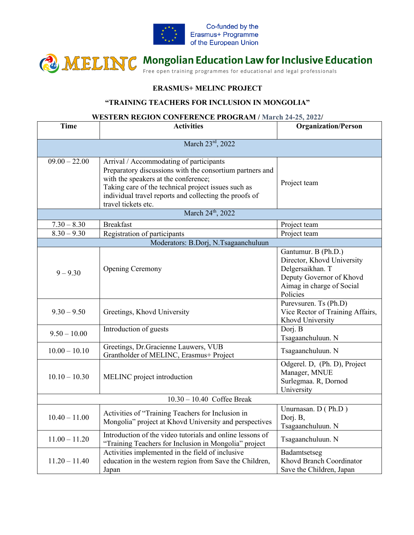

## **CONCERTING** Mongolian Education Law for Inclusive Education

## **ERASMUS+ MELINC PROJECT**

## **"TRAINING TEACHERS FOR INCLUSION IN MONGOLIA"**

## **WESTERN REGION CONFERENCE PROGRAM / March 24-25, 2022/**

| <b>Time</b>                   | <b>Activities</b>                                                                                                                                                                                                                                                                   | <b>Organization/Person</b>                                                                                                                 |  |  |
|-------------------------------|-------------------------------------------------------------------------------------------------------------------------------------------------------------------------------------------------------------------------------------------------------------------------------------|--------------------------------------------------------------------------------------------------------------------------------------------|--|--|
| March 23rd, 2022              |                                                                                                                                                                                                                                                                                     |                                                                                                                                            |  |  |
| $09.00 - 22.00$               | Arrival / Accommodating of participants<br>Preparatory discussions with the consortium partners and<br>with the speakers at the conference;<br>Taking care of the technical project issues such as<br>individual travel reports and collecting the proofs of<br>travel tickets etc. | Project team                                                                                                                               |  |  |
| March 24 <sup>th</sup> , 2022 |                                                                                                                                                                                                                                                                                     |                                                                                                                                            |  |  |
| $7.30 - 8.30$                 | <b>Breakfast</b>                                                                                                                                                                                                                                                                    | Project team                                                                                                                               |  |  |
| $8.30 - 9.30$                 | Registration of participants                                                                                                                                                                                                                                                        | Project team                                                                                                                               |  |  |
|                               | Moderators: B.Dorj, N.Tsagaanchuluun                                                                                                                                                                                                                                                |                                                                                                                                            |  |  |
| $9 - 9.30$                    | <b>Opening Ceremony</b>                                                                                                                                                                                                                                                             | Gantumur. B (Ph.D.)<br>Director, Khovd University<br>Delgersaikhan. T<br>Deputy Governor of Khovd<br>Aimag in charge of Social<br>Policies |  |  |
| $9.30 - 9.50$                 | Greetings, Khovd University                                                                                                                                                                                                                                                         | Purevsuren. Ts (Ph.D)<br>Vice Rector of Training Affairs,<br>Khovd University                                                              |  |  |
| $9.50 - 10.00$                | Introduction of guests                                                                                                                                                                                                                                                              | Dorj. B<br>Tsagaanchuluun. N                                                                                                               |  |  |
| $10.00 - 10.10$               | Greetings, Dr.Gracienne Lauwers, VUB<br>Grantholder of MELINC, Erasmus+ Project                                                                                                                                                                                                     | Tsagaanchuluun. N                                                                                                                          |  |  |
| $10.10 - 10.30$               | MELINC project introduction                                                                                                                                                                                                                                                         | Odgerel. D, (Ph. D), Project<br>Manager, MNUE<br>Surlegmaa. R, Dornod<br>University                                                        |  |  |
| $10.30 - 10.40$ Coffee Break  |                                                                                                                                                                                                                                                                                     |                                                                                                                                            |  |  |
| $10.40 - 11.00$               | Activities of "Training Teachers for Inclusion in<br>Mongolia" project at Khovd University and perspectives                                                                                                                                                                         | Unurnasan. D (Ph.D)<br>Dorj. B,<br>Tsagaanchuluun. N                                                                                       |  |  |
| $11.00 - 11.20$               | Introduction of the video tutorials and online lessons of<br>"Training Teachers for Inclusion in Mongolia" project                                                                                                                                                                  | Tsagaanchuluun. N                                                                                                                          |  |  |
| $11.20 - 11.40$               | Activities implemented in the field of inclusive<br>education in the western region from Save the Children,<br>Japan                                                                                                                                                                | Badamtsetseg<br>Khovd Branch Coordinator<br>Save the Children, Japan                                                                       |  |  |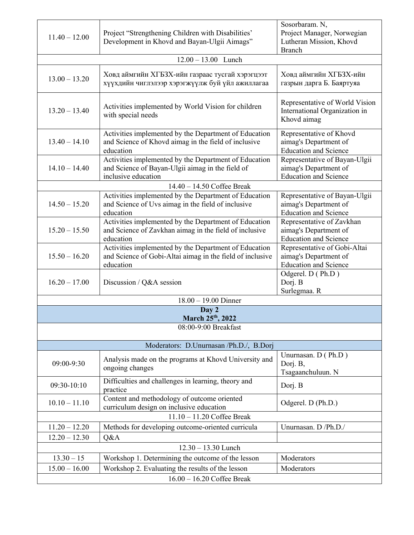| $11.40 - 12.00$                         | Project "Strengthening Children with Disabilities"<br>Development in Khovd and Bayan-Ulgii Aimags"                               | Sosorbaram. N,<br>Project Manager, Norwegian<br>Lutheran Mission, Khovd<br><b>Branch</b> |  |  |
|-----------------------------------------|----------------------------------------------------------------------------------------------------------------------------------|------------------------------------------------------------------------------------------|--|--|
| $12.00 - 13.00$ Lunch                   |                                                                                                                                  |                                                                                          |  |  |
| $13.00 - 13.20$                         | Ховд аймгийн ХГБЗХ-ийн газраас тусгай хэрэгцээт<br>хүүхдийн чиглэлээр хэрэгжүүлж буй үйл ажиллагаа                               | Ховд аймгийн ХГБЗХ-ийн<br>газрын дарга Б. Баяртуяа                                       |  |  |
| $13.20 - 13.40$                         | Activities implemented by World Vision for children<br>with special needs                                                        | Representative of World Vision<br>International Organization in<br>Khovd aimag           |  |  |
| $13.40 - 14.10$                         | Activities implemented by the Department of Education<br>and Science of Khovd aimag in the field of inclusive<br>education       | Representative of Khovd<br>aimag's Department of<br><b>Education and Science</b>         |  |  |
| $14.10 - 14.40$                         | Activities implemented by the Department of Education<br>and Science of Bayan-Ulgii aimag in the field of<br>inclusive education | Representative of Bayan-Ulgii<br>aimag's Department of<br><b>Education and Science</b>   |  |  |
|                                         | $14.40 - 14.50$ Coffee Break                                                                                                     |                                                                                          |  |  |
| $14.50 - 15.20$                         | Activities implemented by the Department of Education<br>and Science of Uvs aimag in the field of inclusive<br>education         | Representative of Bayan-Ulgii<br>aimag's Department of<br><b>Education and Science</b>   |  |  |
| $15.20 - 15.50$                         | Activities implemented by the Department of Education<br>and Science of Zavkhan aimag in the field of inclusive<br>education     | Representative of Zavkhan<br>aimag's Department of<br><b>Education and Science</b>       |  |  |
| $15.50 - 16.20$                         | Activities implemented by the Department of Education<br>and Science of Gobi-Altai aimag in the field of inclusive<br>education  | Representative of Gobi-Altai<br>aimag's Department of<br><b>Education and Science</b>    |  |  |
| $16.20 - 17.00$                         | Discussion / Q&A session                                                                                                         | Odgerel. D (Ph.D)<br>Dorj. B<br>Surlegmaa. R                                             |  |  |
|                                         | $18.00 - 19.00$ Dinner                                                                                                           |                                                                                          |  |  |
| Day 2<br>March 25th, 2022               |                                                                                                                                  |                                                                                          |  |  |
| 08:00-9:00 Breakfast                    |                                                                                                                                  |                                                                                          |  |  |
| Moderators: D.Unurnasan /Ph.D./, B.Dorj |                                                                                                                                  |                                                                                          |  |  |
| 09:00-9:30                              | Analysis made on the programs at Khovd University and<br>ongoing changes                                                         | Unurnasan. D (Ph.D)<br>Dorj. B,<br>Tsagaanchuluun. N                                     |  |  |
| 09:30-10:10                             | Difficulties and challenges in learning, theory and<br>practice                                                                  | Dorj. B                                                                                  |  |  |
| $10.10 - 11.10$                         | Content and methodology of outcome oriented<br>curriculum design on inclusive education                                          | Odgerel. D (Ph.D.)                                                                       |  |  |
| 11.10 - 11.20 Coffee Break              |                                                                                                                                  |                                                                                          |  |  |
| $11.20 - 12.20$                         | Methods for developing outcome-oriented curricula                                                                                | Unurnasan. D /Ph.D./                                                                     |  |  |
| $12.20 - 12.30$                         | Q&A                                                                                                                              |                                                                                          |  |  |
|                                         | $12.30 - 13.30$ Lunch                                                                                                            |                                                                                          |  |  |
| $13.30 - 15$                            | Workshop 1. Determining the outcome of the lesson                                                                                | Moderators                                                                               |  |  |
| $15.00 - 16.00$                         | Workshop 2. Evaluating the results of the lesson                                                                                 | Moderators                                                                               |  |  |
| $16.00 - 16.20$ Coffee Break            |                                                                                                                                  |                                                                                          |  |  |